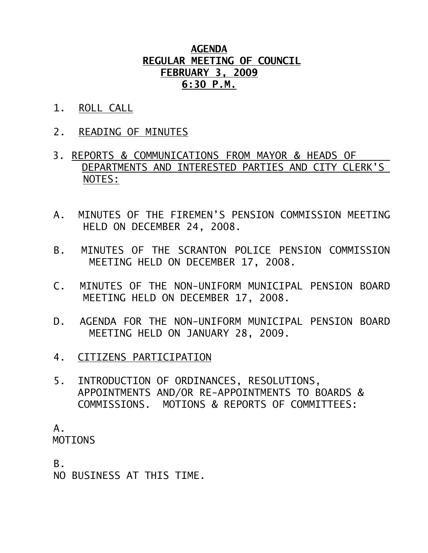## **AGENDA REGULAR MEETING OF COUNCIL FEBRUARY 3, 2009 6:30 P.M.**

- 1. ROLL CALL
- 2. READING OF MINUTES
- 3. REPORTS & COMMUNICATIONS FROM MAYOR & HEADS OF DEPARTMENTS AND INTERESTED PARTIES AND CITY CLERK'S NOTES:
- A. MINUTES OF THE FIREMEN'S PENSION COMMISSION MEETING HELD ON DECEMBER 24, 2008.
- B. MINUTES OF THE SCRANTON POLICE PENSION COMMISSION MEETING HELD ON DECEMBER 17, 2008.
- C. MINUTES OF THE NON-UNIFORM MUNICIPAL PENSION BOARD MEETING HELD ON DECEMBER 17, 2008.
- D. AGENDA FOR THE NON-UNIFORM MUNICIPAL PENSION BOARD MEETING HELD ON JANUARY 28, 2009.
- 4. CITIZENS PARTICIPATION
- 5. INTRODUCTION OF ORDINANCES, RESOLUTIONS, APPOINTMENTS AND/OR RE-APPOINTMENTS TO BOARDS & COMMISSIONS. MOTIONS & REPORTS OF COMMITTEES:

 A. MOTIONS

B.

NO BUSINESS AT THIS TIME.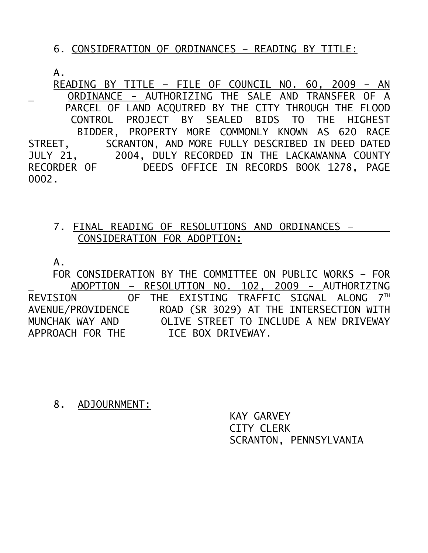## 6. CONSIDERATION OF ORDINANCES – READING BY TITLE:

A.

 READING BY TITLE – FILE OF COUNCIL NO. 60, 2009 – AN ORDINANCE - AUTHORIZING THE SALE AND TRANSFER OF A PARCEL OF LAND ACQUIRED BY THE CITY THROUGH THE FLOOD CONTROL PROJECT BY SEALED BIDS TO THE HIGHEST BIDDER, PROPERTY MORE COMMONLY KNOWN AS 620 RACE<br>STREET, SCRANTON, AND MORE FULLY DESCRIBED IN DEED DATED SCRANTON, AND MORE FULLY DESCRIBED IN DEED DATED JULY 21, 2004, DULY RECORDED IN THE LACKAWANNA COUNTY RECORDER OF DEEDS OFFICE IN RECORDS BOOK 1278, PAGE 0002.

## 7. FINAL READING OF RESOLUTIONS AND ORDINANCES – CONSIDERATION FOR ADOPTION:

A.

 FOR CONSIDERATION BY THE COMMITTEE ON PUBLIC WORKS – FOR ADOPTION – RESOLUTION NO. 102, 2009 - AUTHORIZING REVISION OF THE EXISTING TRAFFIC SIGNAL ALONG 7<sup>TH</sup> AVENUE/PROVIDENCE ROAD (SR 3029) AT THE INTERSECTION WITH MUNCHAK WAY AND OLIVE STREET TO INCLUDE A NEW DRIVEWAY APPROACH FOR THE ICE BOX DRIVEWAY.

8. ADJOURNMENT:

 KAY GARVEY CITY CLERK SCRANTON, PENNSYLVANIA